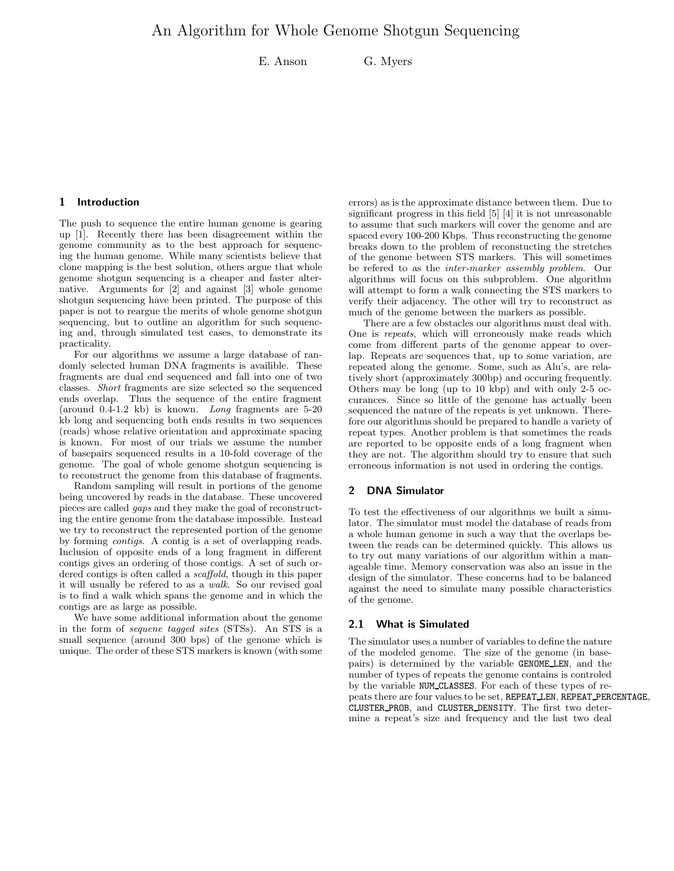E. Anson G. Myers

#### 1 Introduction

The push to sequence the entire human genome is gearing up [1]. Recently there has been disagreement within the genome community as to the best approach for sequencing the human genome. While many scientists believe that clone mapping is the best solution, others argue that whole genome shotgun sequencing is a cheaper and faster alternative. Arguments for [2] and against [3] whole genome shotgun sequencing have been printed. The purpose of this paper is not to reargue the merits of whole genome shotgun sequencing, but to outline an algorithm for such sequencing and, through simulated test cases, to demonstrate its practicality.

For our algorithms we assume a large database of randomly selected human DNA fragments is availible. These fragments are dual end sequenced and fall into one of two classes. Short fragments are size selected so the sequenced ends overlap. Thus the sequence of the entire fragment (around 0.4-1.2 kb) is known. Long fragments are 5-20 kb long and sequencing both ends results in two sequences (reads) whose relative orientation and approximate spacing is known. For most of our trials we assume the number of basepairs sequenced results in a 10-fold coverage of the genome. The goal of whole genome shotgun sequencing is to reconstruct the genome from this database of fragments.

Random sampling will result in portions of the genome being uncovered by reads in the database. These uncovered pieces are called gaps and they make the goal of reconstructing the entire genome from the database impossible. Instead we try to reconstruct the represented portion of the genome by forming contigs. A contig is a set of overlapping reads. Inclusion of opposite ends of a long fragment in different contigs gives an ordering of those contigs. A set of such ordered contigs is often called a *scaffold*, though in this paper it will usually be refered to as a walk. So our revised goal is to find a walk which spans the genome and in which the contigs are as large as possible.

We have some additional information about the genome in the form of sequene tagged sites (STSs). An STS is a small sequence (around 300 bps) of the genome which is unique. The order of these STS markers is known (with some

errors) as is the approximate distance between them. Due to significant progress in this field [5] [4] it is not unreasonable to assume that such markers will cover the genome and are spaced every 100-200 Kbps. Thus reconstructing the genome breaks down to the problem of reconstucting the stretches of the genome between STS markers. This will sometimes be refered to as the inter-marker assembly problem. Our algorithms will focus on this subproblem. One algorithm will attempt to form a walk connecting the STS markers to verify their adjacency. The other will try to reconstruct as much of the genome between the markers as possible.

There are a few obstacles our algorithms must deal with. One is repeats, which will erroneously make reads which come from different parts of the genome appear to overlap. Repeats are sequences that, up to some variation, are repeated along the genome. Some, such as Alu's, are relatively short (approximately 300bp) and occuring frequently. Others may be long (up to 10 kbp) and with only 2-5 occurances. Since so little of the genome has actually been sequenced the nature of the repeats is yet unknown. Therefore our algorithms should be prepared to handle a variety of repeat types. Another problem is that sometimes the reads are reported to be opposite ends of a long fragment when they are not. The algorithm should try to ensure that such erroneous information is not used in ordering the contigs.

## 2 DNA Simulator

To test the effectiveness of our algorithms we built a simulator. The simulator must model the database of reads from a whole human genome in such a way that the overlaps between the reads can be determined quickly. This allows us to try out many variations of our algorithm within a manageable time. Memory conservation was also an issue in the design of the simulator. These concerns had to be balanced against the need to simulate many possible characteristics of the genome.

### 2.1 What is Simulated

The simulator uses a number of variables to define the nature of the modeled genome. The size of the genome (in basepairs) is determined by the variable GENOME LEN, and the number of types of repeats the genome contains is controled by the variable NUM CLASSES. For each of these types of repeats there are four values to be set, REPEAT LEN, REPEAT PERCENTAGE, CLUSTER PROB, and CLUSTER DENSITY. The first two determine a repeat's size and frequency and the last two deal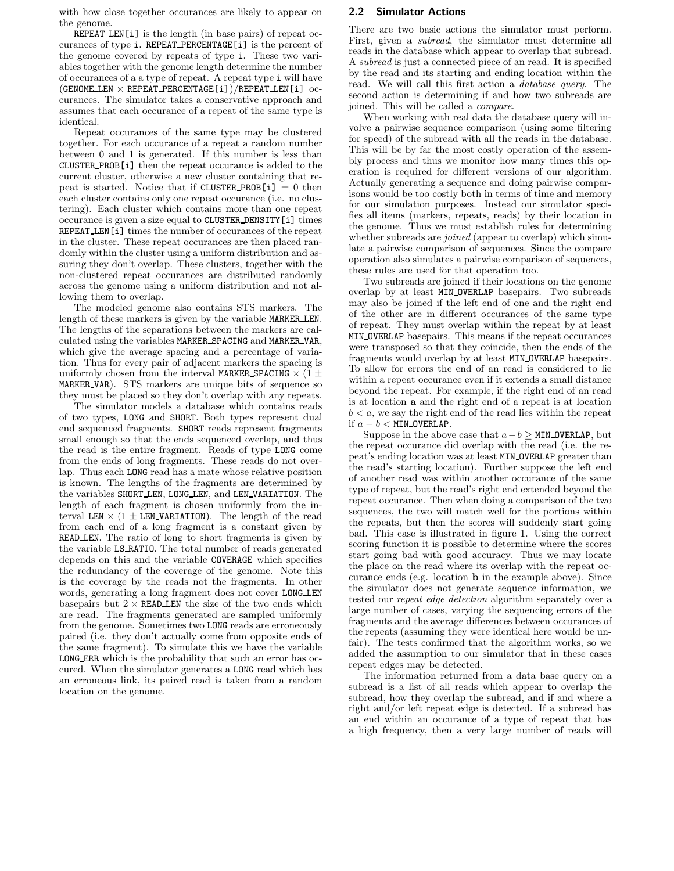with how close together occurances are likely to appear on the genome.

REPEAT LEN[i] is the length (in base pairs) of repeat occurances of type i. REPEAT PERCENTAGE[i] is the percent of the genome covered by repeats of type i. These two variables together with the genome length determine the number of occurances of a a type of repeat. A repeat type i will have (GENOME LEN  $\times$  REPEAT PERCENTAGE [i]) /REPEAT LEN[i] occurances. The simulator takes a conservative approach and assumes that each occurance of a repeat of the same type is identical.

Repeat occurances of the same type may be clustered together. For each occurance of a repeat a random number between 0 and 1 is generated. If this number is less than CLUSTER PROB[i] then the repeat occurance is added to the current cluster, otherwise a new cluster containing that repeat is started. Notice that if CLUSTER PROB[i]  $= 0$  then each cluster contains only one repeat occurance (i.e. no clustering). Each cluster which contains more than one repeat occurance is given a size equal to CLUSTER DENSITY[i] times REPEAT LEN[i] times the number of occurances of the repeat in the cluster. These repeat occurances are then placed randomly within the cluster using a uniform distribution and assuring they don't overlap. These clusters, together with the non-clustered repeat occurances are distributed randomly across the genome using a uniform distribution and not allowing them to overlap.

The modeled genome also contains STS markers. The length of these markers is given by the variable MARKER LEN. The lengths of the separations between the markers are calculated using the variables MARKER SPACING and MARKER VAR, which give the average spacing and a percentage of variation. Thus for every pair of adjacent markers the spacing is uniformly chosen from the interval MARKER SPACING  $\times$  (1  $\pm$ MARKER VAR). STS markers are unique bits of sequence so they must be placed so they don't overlap with any repeats.

The simulator models a database which contains reads of two types, LONG and SHORT. Both types represent dual end sequenced fragments. SHORT reads represent fragments small enough so that the ends sequenced overlap, and thus the read is the entire fragment. Reads of type LONG come from the ends of long fragments. These reads do not overlap. Thus each LONG read has a mate whose relative position is known. The lengths of the fragments are determined by the variables SHORT LEN, LONG LEN, and LEN VARIATION. The length of each fragment is chosen uniformly from the interval LEN  $\times$  (1 ± LEN\_VARIATION). The length of the read from each end of a long fragment is a constant given by READ LEN. The ratio of long to short fragments is given by the variable LS RATIO. The total number of reads generated depends on this and the variable COVERAGE which specifies the redundancy of the coverage of the genome. Note this is the coverage by the reads not the fragments. In other words, generating a long fragment does not cover LONG LEN basepairs but  $2 \times$  READ LEN the size of the two ends which are read. The fragments generated are sampled uniformly from the genome. Sometimes two LONG reads are erroneously paired (i.e. they don't actually come from opposite ends of the same fragment). To simulate this we have the variable LONG ERR which is the probability that such an error has occured. When the simulator generates a LONG read which has an erroneous link, its paired read is taken from a random location on the genome.

## 2.2 Simulator Actions

There are two basic actions the simulator must perform. First, given a subread, the simulator must determine all reads in the database which appear to overlap that subread. A subread is just a connected piece of an read. It is specified by the read and its starting and ending location within the read. We will call this first action a database query. The second action is determining if and how two subreads are joined. This will be called a compare.

When working with real data the database query will involve a pairwise sequence comparison (using some filtering for speed) of the subread with all the reads in the database. This will be by far the most costly operation of the assembly process and thus we monitor how many times this operation is required for different versions of our algorithm. Actually generating a sequence and doing pairwise comparisons would be too costly both in terms of time and memory for our simulation purposes. Instead our simulator specifies all items (markers, repeats, reads) by their location in the genome. Thus we must establish rules for determining whether subreads are *joined* (appear to overlap) which simulate a pairwise comparison of sequences. Since the compare operation also simulates a pairwise comparison of sequences, these rules are used for that operation too.

Two subreads are joined if their locations on the genome overlap by at least MIN OVERLAP basepairs. Two subreads may also be joined if the left end of one and the right end of the other are in different occurances of the same type of repeat. They must overlap within the repeat by at least MIN OVERLAP basepairs. This means if the repeat occurances were transposed so that they coincide, then the ends of the fragments would overlap by at least MIN OVERLAP basepairs. To allow for errors the end of an read is considered to lie within a repeat occurance even if it extends a small distance beyond the repeat. For example, if the right end of an read is at location a and the right end of a repeat is at location  $b < a$ , we say the right end of the read lies within the repeat if  $a - b <$  MIN\_OVERLAP.

Suppose in the above case that  $a-b \geq MIN$  OVERLAP, but the repeat occurance did overlap with the read (i.e. the repeat's ending location was at least MIN OVERLAP greater than the read's starting location). Further suppose the left end of another read was within another occurance of the same type of repeat, but the read's right end extended beyond the repeat occurance. Then when doing a comparison of the two sequences, the two will match well for the portions within the repeats, but then the scores will suddenly start going bad. This case is illustrated in figure 1. Using the correct scoring function it is possible to determine where the scores start going bad with good accuracy. Thus we may locate the place on the read where its overlap with the repeat occurance ends (e.g. location b in the example above). Since the simulator does not generate sequence information, we tested our repeat edge detection algorithm separately over a large number of cases, varying the sequencing errors of the fragments and the average differences between occurances of the repeats (assuming they were identical here would be unfair). The tests confirmed that the algorithm works, so we added the assumption to our simulator that in these cases repeat edges may be detected.

The information returned from a data base query on a subread is a list of all reads which appear to overlap the subread, how they overlap the subread, and if and where a right and/or left repeat edge is detected. If a subread has an end within an occurance of a type of repeat that has a high frequency, then a very large number of reads will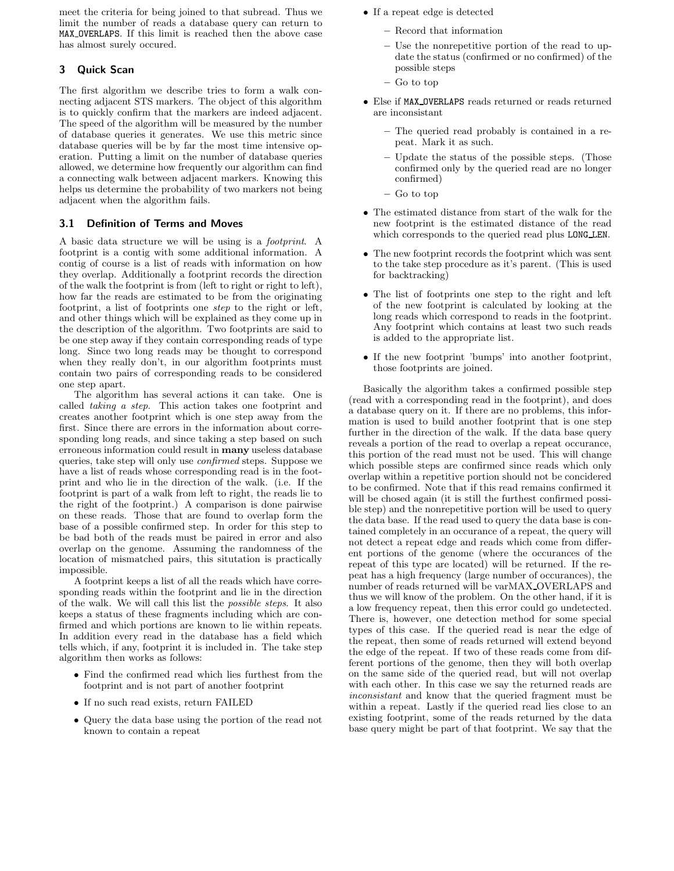meet the criteria for being joined to that subread. Thus we limit the number of reads a database query can return to MAX OVERLAPS. If this limit is reached then the above case has almost surely occured.

# 3 Quick Scan

The first algorithm we describe tries to form a walk connecting adjacent STS markers. The object of this algorithm is to quickly confirm that the markers are indeed adjacent. The speed of the algorithm will be measured by the number of database queries it generates. We use this metric since database queries will be by far the most time intensive operation. Putting a limit on the number of database queries allowed, we determine how frequently our algorithm can find a connecting walk between adjacent markers. Knowing this helps us determine the probability of two markers not being adjacent when the algorithm fails.

## 3.1 Definition of Terms and Moves

A basic data structure we will be using is a footprint. A footprint is a contig with some additional information. A contig of course is a list of reads with information on how they overlap. Additionally a footprint records the direction of the walk the footprint is from (left to right or right to left), how far the reads are estimated to be from the originating footprint, a list of footprints one step to the right or left, and other things which will be explained as they come up in the description of the algorithm. Two footprints are said to be one step away if they contain corresponding reads of type long. Since two long reads may be thought to correspond when they really don't, in our algorithm footprints must contain two pairs of corresponding reads to be considered one step apart.

The algorithm has several actions it can take. One is called taking a step. This action takes one footprint and creates another footprint which is one step away from the first. Since there are errors in the information about corresponding long reads, and since taking a step based on such erroneous information could result in many useless database queries, take step will only use confirmed steps. Suppose we have a list of reads whose corresponding read is in the footprint and who lie in the direction of the walk. (i.e. If the footprint is part of a walk from left to right, the reads lie to the right of the footprint.) A comparison is done pairwise on these reads. Those that are found to overlap form the base of a possible confirmed step. In order for this step to be bad both of the reads must be paired in error and also overlap on the genome. Assuming the randomness of the location of mismatched pairs, this situtation is practically impossible.

A footprint keeps a list of all the reads which have corresponding reads within the footprint and lie in the direction of the walk. We will call this list the possible steps. It also keeps a status of these fragments including which are confirmed and which portions are known to lie within repeats. In addition every read in the database has a field which tells which, if any, footprint it is included in. The take step algorithm then works as follows:

- Find the confirmed read which lies furthest from the footprint and is not part of another footprint
- If no such read exists, return FAILED
- Query the data base using the portion of the read not known to contain a repeat
- If a repeat edge is detected
	- Record that information
	- Use the nonrepetitive portion of the read to update the status (confirmed or no confirmed) of the possible steps
	- Go to top
- Else if MAX OVERLAPS reads returned or reads returned are inconsistant
	- The queried read probably is contained in a repeat. Mark it as such.
	- Update the status of the possible steps. (Those confirmed only by the queried read are no longer confirmed)
	- Go to top
- The estimated distance from start of the walk for the new footprint is the estimated distance of the read which corresponds to the queried read plus LONG LEN.
- The new footprint records the footprint which was sent to the take step procedure as it's parent. (This is used for backtracking)
- The list of footprints one step to the right and left of the new footprint is calculated by looking at the long reads which correspond to reads in the footprint. Any footprint which contains at least two such reads is added to the appropriate list.
- If the new footprint 'bumps' into another footprint, those footprints are joined.

Basically the algorithm takes a confirmed possible step (read with a corresponding read in the footprint), and does a database query on it. If there are no problems, this information is used to build another footprint that is one step further in the direction of the walk. If the data base query reveals a portion of the read to overlap a repeat occurance, this portion of the read must not be used. This will change which possible steps are confirmed since reads which only overlap within a repetitive portion should not be concidered to be confirmed. Note that if this read remains confirmed it will be chosed again (it is still the furthest confirmed possible step) and the nonrepetitive portion will be used to query the data base. If the read used to query the data base is contained completely in an occurance of a repeat, the query will not detect a repeat edge and reads which come from different portions of the genome (where the occurances of the repeat of this type are located) will be returned. If the repeat has a high frequency (large number of occurances), the number of reads returned will be varMAX OVERLAPS and thus we will know of the problem. On the other hand, if it is a low frequency repeat, then this error could go undetected. There is, however, one detection method for some special types of this case. If the queried read is near the edge of the repeat, then some of reads returned will extend beyond the edge of the repeat. If two of these reads come from different portions of the genome, then they will both overlap on the same side of the queried read, but will not overlap with each other. In this case we say the returned reads are inconsistant and know that the queried fragment must be within a repeat. Lastly if the queried read lies close to an existing footprint, some of the reads returned by the data base query might be part of that footprint. We say that the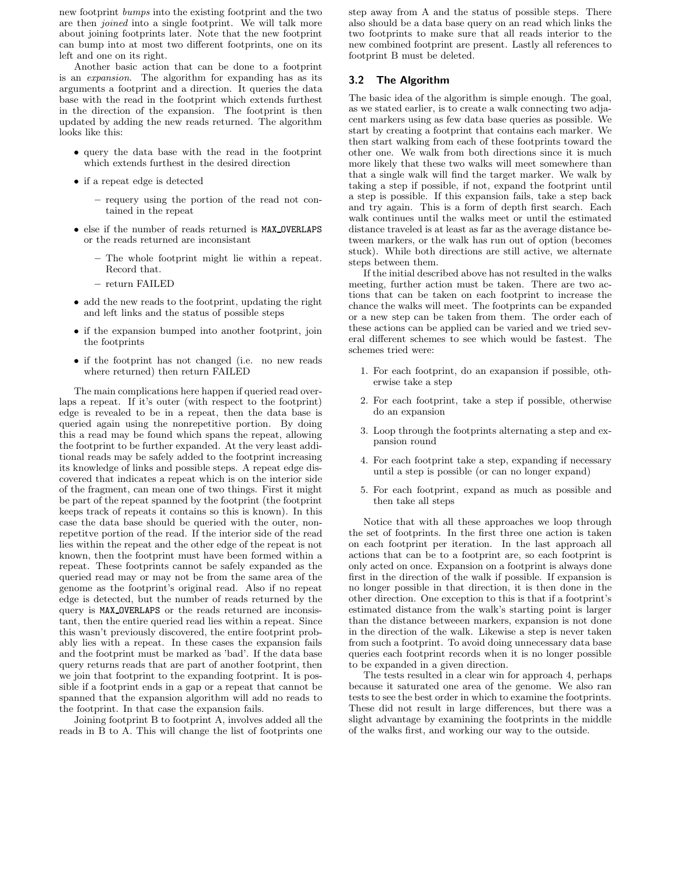new footprint bumps into the existing footprint and the two are then joined into a single footprint. We will talk more about joining footprints later. Note that the new footprint can bump into at most two different footprints, one on its left and one on its right.

Another basic action that can be done to a footprint is an expansion. The algorithm for expanding has as its arguments a footprint and a direction. It queries the data base with the read in the footprint which extends furthest in the direction of the expansion. The footprint is then updated by adding the new reads returned. The algorithm looks like this:

- query the data base with the read in the footprint which extends furthest in the desired direction
- if a repeat edge is detected
	- requery using the portion of the read not contained in the repeat
- else if the number of reads returned is MAX OVERLAPS or the reads returned are inconsistant
	- The whole footprint might lie within a repeat. Record that.
	- return FAILED
- add the new reads to the footprint, updating the right and left links and the status of possible steps
- if the expansion bumped into another footprint, join the footprints
- if the footprint has not changed (i.e. no new reads where returned) then return FAILED

The main complications here happen if queried read overlaps a repeat. If it's outer (with respect to the footprint) edge is revealed to be in a repeat, then the data base is queried again using the nonrepetitive portion. By doing this a read may be found which spans the repeat, allowing the footprint to be further expanded. At the very least additional reads may be safely added to the footprint increasing its knowledge of links and possible steps. A repeat edge discovered that indicates a repeat which is on the interior side of the fragment, can mean one of two things. First it might be part of the repeat spanned by the footprint (the footprint keeps track of repeats it contains so this is known). In this case the data base should be queried with the outer, nonrepetitve portion of the read. If the interior side of the read lies within the repeat and the other edge of the repeat is not known, then the footprint must have been formed within a repeat. These footprints cannot be safely expanded as the queried read may or may not be from the same area of the genome as the footprint's original read. Also if no repeat edge is detected, but the number of reads returned by the query is MAX OVERLAPS or the reads returned are inconsistant, then the entire queried read lies within a repeat. Since this wasn't previously discovered, the entire footprint probably lies with a repeat. In these cases the expansion fails and the footprint must be marked as 'bad'. If the data base query returns reads that are part of another footprint, then we join that footprint to the expanding footprint. It is possible if a footprint ends in a gap or a repeat that cannot be spanned that the expansion algorithm will add no reads to the footprint. In that case the expansion fails.

Joining footprint B to footprint A, involves added all the reads in B to A. This will change the list of footprints one step away from A and the status of possible steps. There also should be a data base query on an read which links the two footprints to make sure that all reads interior to the new combined footprint are present. Lastly all references to footprint B must be deleted.

#### 3.2 The Algorithm

The basic idea of the algorithm is simple enough. The goal, as we stated earlier, is to create a walk connecting two adjacent markers using as few data base queries as possible. We start by creating a footprint that contains each marker. We then start walking from each of these footprints toward the other one. We walk from both directions since it is much more likely that these two walks will meet somewhere than that a single walk will find the target marker. We walk by taking a step if possible, if not, expand the footprint until a step is possible. If this expansion fails, take a step back and try again. This is a form of depth first search. Each walk continues until the walks meet or until the estimated distance traveled is at least as far as the average distance between markers, or the walk has run out of option (becomes stuck). While both directions are still active, we alternate steps between them.

If the initial described above has not resulted in the walks meeting, further action must be taken. There are two actions that can be taken on each footprint to increase the chance the walks will meet. The footprints can be expanded or a new step can be taken from them. The order each of these actions can be applied can be varied and we tried several different schemes to see which would be fastest. The schemes tried were:

- 1. For each footprint, do an exapansion if possible, otherwise take a step
- 2. For each footprint, take a step if possible, otherwise do an expansion
- 3. Loop through the footprints alternating a step and expansion round
- 4. For each footprint take a step, expanding if necessary until a step is possible (or can no longer expand)
- 5. For each footprint, expand as much as possible and then take all steps

Notice that with all these approaches we loop through the set of footprints. In the first three one action is taken on each footprint per iteration. In the last approach all actions that can be to a footprint are, so each footprint is only acted on once. Expansion on a footprint is always done first in the direction of the walk if possible. If expansion is no longer possible in that direction, it is then done in the other direction. One exception to this is that if a footprint's estimated distance from the walk's starting point is larger than the distance betweeen markers, expansion is not done in the direction of the walk. Likewise a step is never taken from such a footprint. To avoid doing unnecessary data base queries each footprint records when it is no longer possible to be expanded in a given direction.

The tests resulted in a clear win for approach 4, perhaps because it saturated one area of the genome. We also ran tests to see the best order in which to examine the footprints. These did not result in large differences, but there was a slight advantage by examining the footprints in the middle of the walks first, and working our way to the outside.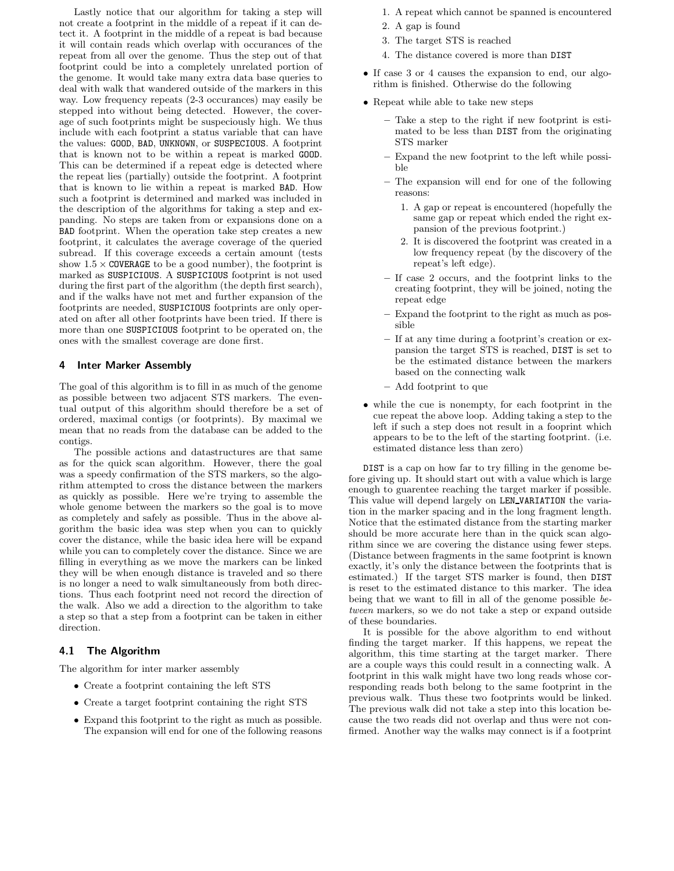Lastly notice that our algorithm for taking a step will not create a footprint in the middle of a repeat if it can detect it. A footprint in the middle of a repeat is bad because it will contain reads which overlap with occurances of the repeat from all over the genome. Thus the step out of that footprint could be into a completely unrelated portion of the genome. It would take many extra data base queries to deal with walk that wandered outside of the markers in this way. Low frequency repeats (2-3 occurances) may easily be stepped into without being detected. However, the coverage of such footprints might be suspeciously high. We thus include with each footprint a status variable that can have the values: GOOD, BAD, UNKNOWN, or SUSPECIOUS. A footprint that is known not to be within a repeat is marked GOOD. This can be determined if a repeat edge is detected where the repeat lies (partially) outside the footprint. A footprint that is known to lie within a repeat is marked BAD. How such a footprint is determined and marked was included in the description of the algorithms for taking a step and expanding. No steps are taken from or expansions done on a BAD footprint. When the operation take step creates a new footprint, it calculates the average coverage of the queried subread. If this coverage exceeds a certain amount (tests show  $1.5 \times$  COVERAGE to be a good number), the footprint is marked as SUSPICIOUS. A SUSPICIOUS footprint is not used during the first part of the algorithm (the depth first search), and if the walks have not met and further expansion of the footprints are needed, SUSPICIOUS footprints are only operated on after all other footprints have been tried. If there is more than one SUSPICIOUS footprint to be operated on, the ones with the smallest coverage are done first.

#### 4 Inter Marker Assembly

The goal of this algorithm is to fill in as much of the genome as possible between two adjacent STS markers. The eventual output of this algorithm should therefore be a set of ordered, maximal contigs (or footprints). By maximal we mean that no reads from the database can be added to the contigs.

The possible actions and datastructures are that same as for the quick scan algorithm. However, there the goal was a speedy confirmation of the STS markers, so the algorithm attempted to cross the distance between the markers as quickly as possible. Here we're trying to assemble the whole genome between the markers so the goal is to move as completely and safely as possible. Thus in the above algorithm the basic idea was step when you can to quickly cover the distance, while the basic idea here will be expand while you can to completely cover the distance. Since we are filling in everything as we move the markers can be linked they will be when enough distance is traveled and so there is no longer a need to walk simultaneously from both directions. Thus each footprint need not record the direction of the walk. Also we add a direction to the algorithm to take a step so that a step from a footprint can be taken in either direction.

# 4.1 The Algorithm

The algorithm for inter marker assembly

- Create a footprint containing the left STS
- Create a target footprint containing the right STS
- Expand this footprint to the right as much as possible. The expansion will end for one of the following reasons
- 1. A repeat which cannot be spanned is encountered
- 2. A gap is found
- 3. The target STS is reached
- 4. The distance covered is more than DIST
- If case 3 or 4 causes the expansion to end, our algorithm is finished. Otherwise do the following
- Repeat while able to take new steps
	- Take a step to the right if new footprint is estimated to be less than DIST from the originating STS marker
	- Expand the new footprint to the left while possible
	- The expansion will end for one of the following reasons:
		- 1. A gap or repeat is encountered (hopefully the same gap or repeat which ended the right expansion of the previous footprint.)
		- 2. It is discovered the footprint was created in a low frequency repeat (by the discovery of the repeat's left edge).
	- If case 2 occurs, and the footprint links to the creating footprint, they will be joined, noting the repeat edge
	- Expand the footprint to the right as much as possible
	- If at any time during a footprint's creation or expansion the target STS is reached, DIST is set to be the estimated distance between the markers based on the connecting walk
	- Add footprint to que
- while the cue is nonempty, for each footprint in the cue repeat the above loop. Adding taking a step to the left if such a step does not result in a fooprint which appears to be to the left of the starting footprint. (i.e. estimated distance less than zero)

DIST is a cap on how far to try filling in the genome before giving up. It should start out with a value which is large enough to guarentee reaching the target marker if possible. This value will depend largely on LEN VARIATION the variation in the marker spacing and in the long fragment length. Notice that the estimated distance from the starting marker should be more accurate here than in the quick scan algorithm since we are covering the distance using fewer steps. (Distance between fragments in the same footprint is known exactly, it's only the distance between the footprints that is estimated.) If the target STS marker is found, then DIST is reset to the estimated distance to this marker. The idea being that we want to fill in all of the genome possible between markers, so we do not take a step or expand outside of these boundaries.

It is possible for the above algorithm to end without finding the target marker. If this happens, we repeat the algorithm, this time starting at the target marker. There are a couple ways this could result in a connecting walk. A footprint in this walk might have two long reads whose corresponding reads both belong to the same footprint in the previous walk. Thus these two footprints would be linked. The previous walk did not take a step into this location because the two reads did not overlap and thus were not confirmed. Another way the walks may connect is if a footprint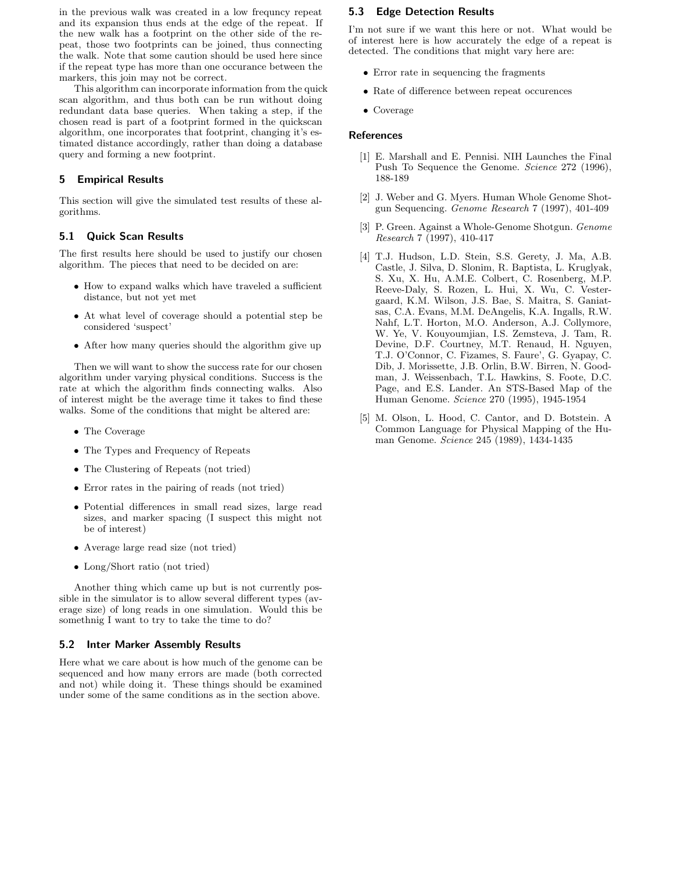in the previous walk was created in a low frequncy repeat and its expansion thus ends at the edge of the repeat. If the new walk has a footprint on the other side of the repeat, those two footprints can be joined, thus connecting the walk. Note that some caution should be used here since if the repeat type has more than one occurance between the markers, this join may not be correct.

This algorithm can incorporate information from the quick scan algorithm, and thus both can be run without doing redundant data base queries. When taking a step, if the chosen read is part of a footprint formed in the quickscan algorithm, one incorporates that footprint, changing it's estimated distance accordingly, rather than doing a database query and forming a new footprint.

## 5 Empirical Results

This section will give the simulated test results of these algorithms.

## 5.1 Quick Scan Results

The first results here should be used to justify our chosen algorithm. The pieces that need to be decided on are:

- How to expand walks which have traveled a sufficient distance, but not yet met
- At what level of coverage should a potential step be considered 'suspect'
- After how many queries should the algorithm give up

Then we will want to show the success rate for our chosen algorithm under varying physical conditions. Success is the rate at which the algorithm finds connecting walks. Also of interest might be the average time it takes to find these walks. Some of the conditions that might be altered are:

- The Coverage
- The Types and Frequency of Repeats
- The Clustering of Repeats (not tried)
- Error rates in the pairing of reads (not tried)
- Potential differences in small read sizes, large read sizes, and marker spacing (I suspect this might not be of interest)
- Average large read size (not tried)
- Long/Short ratio (not tried)

Another thing which came up but is not currently possible in the simulator is to allow several different types (average size) of long reads in one simulation. Would this be somethnig I want to try to take the time to do?

#### 5.2 Inter Marker Assembly Results

Here what we care about is how much of the genome can be sequenced and how many errors are made (both corrected and not) while doing it. These things should be examined under some of the same conditions as in the section above.

### 5.3 Edge Detection Results

I'm not sure if we want this here or not. What would be of interest here is how accurately the edge of a repeat is detected. The conditions that might vary here are:

- Error rate in sequencing the fragments
- Rate of difference between repeat occurences
- Coverage

#### References

- [1] E. Marshall and E. Pennisi. NIH Launches the Final Push To Sequence the Genome. Science 272 (1996), 188-189
- [2] J. Weber and G. Myers. Human Whole Genome Shotgun Sequencing. Genome Research 7 (1997), 401-409
- [3] P. Green. Against a Whole-Genome Shotgun. Genome Research 7 (1997), 410-417
- [4] T.J. Hudson, L.D. Stein, S.S. Gerety, J. Ma, A.B. Castle, J. Silva, D. Slonim, R. Baptista, L. Kruglyak, S. Xu, X. Hu, A.M.E. Colbert, C. Rosenberg, M.P. Reeve-Daly, S. Rozen, L. Hui, X. Wu, C. Vestergaard, K.M. Wilson, J.S. Bae, S. Maitra, S. Ganiatsas, C.A. Evans, M.M. DeAngelis, K.A. Ingalls, R.W. Nahf, L.T. Horton, M.O. Anderson, A.J. Collymore, W. Ye, V. Kouyoumjian, I.S. Zemsteva, J. Tam, R. Devine, D.F. Courtney, M.T. Renaud, H. Nguyen, T.J. O'Connor, C. Fizames, S. Faure', G. Gyapay, C. Dib, J. Morissette, J.B. Orlin, B.W. Birren, N. Goodman, J. Weissenbach, T.L. Hawkins, S. Foote, D.C. Page, and E.S. Lander. An STS-Based Map of the Human Genome. Science 270 (1995), 1945-1954
- [5] M. Olson, L. Hood, C. Cantor, and D. Botstein. A Common Language for Physical Mapping of the Human Genome. Science 245 (1989), 1434-1435